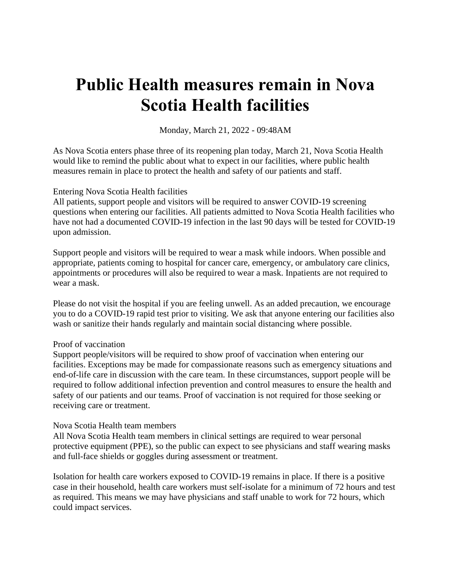# **Public Health measures remain in Nova Scotia Health facilities**

Monday, March 21, 2022 - 09:48AM

As Nova Scotia enters phase three of its reopening plan today, March 21, Nova Scotia Health would like to remind the public about what to expect in our facilities, where public health measures remain in place to protect the health and safety of our patients and staff.

## Entering Nova Scotia Health facilities

All patients, support people and visitors will be required to answer COVID-19 screening questions when entering our facilities. All patients admitted to Nova Scotia Health facilities who have not had a documented COVID-19 infection in the last 90 days will be tested for COVID-19 upon admission.

Support people and visitors will be required to wear a mask while indoors. When possible and appropriate, patients coming to hospital for cancer care, emergency, or ambulatory care clinics, appointments or procedures will also be required to wear a mask. Inpatients are not required to wear a mask.

Please do not visit the hospital if you are feeling unwell. As an added precaution, we encourage you to do a COVID-19 rapid test prior to visiting. We ask that anyone entering our facilities also wash or sanitize their hands regularly and maintain social distancing where possible.

## Proof of vaccination

Support people/visitors will be required to show proof of vaccination when entering our facilities. Exceptions may be made for compassionate reasons such as emergency situations and end-of-life care in discussion with the care team. In these circumstances, support people will be required to follow additional infection prevention and control measures to ensure the health and safety of our patients and our teams. Proof of vaccination is not required for those seeking or receiving care or treatment.

#### Nova Scotia Health team members

All Nova Scotia Health team members in clinical settings are required to wear personal protective equipment (PPE), so the public can expect to see physicians and staff wearing masks and full-face shields or goggles during assessment or treatment.

Isolation for health care workers exposed to COVID-19 remains in place. If there is a positive case in their household, health care workers must self-isolate for a minimum of 72 hours and test as required. This means we may have physicians and staff unable to work for 72 hours, which could impact services.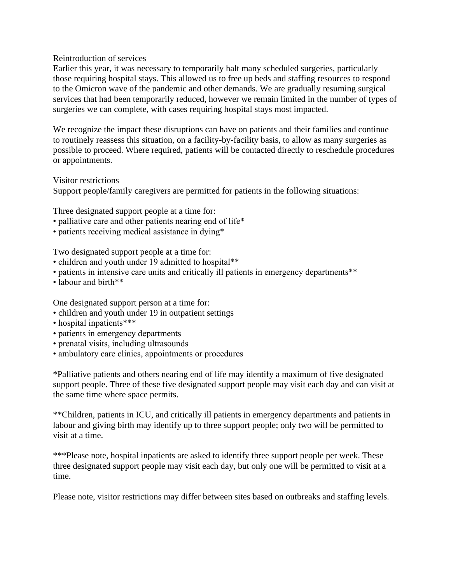#### Reintroduction of services

Earlier this year, it was necessary to temporarily halt many scheduled surgeries, particularly those requiring hospital stays. This allowed us to free up beds and staffing resources to respond to the Omicron wave of the pandemic and other demands. We are gradually resuming surgical services that had been temporarily reduced, however we remain limited in the number of types of surgeries we can complete, with cases requiring hospital stays most impacted.

We recognize the impact these disruptions can have on patients and their families and continue to routinely reassess this situation, on a facility-by-facility basis, to allow as many surgeries as possible to proceed. Where required, patients will be contacted directly to reschedule procedures or appointments.

Visitor restrictions

Support people/family caregivers are permitted for patients in the following situations:

Three designated support people at a time for:

- palliative care and other patients nearing end of life\*
- patients receiving medical assistance in dying\*

Two designated support people at a time for:

- children and youth under 19 admitted to hospital\*\*
- patients in intensive care units and critically ill patients in emergency departments\*\*
- labour and birth\*\*

One designated support person at a time for:

- children and youth under 19 in outpatient settings
- hospital inpatients\*\*\*
- patients in emergency departments
- prenatal visits, including ultrasounds
- ambulatory care clinics, appointments or procedures

\*Palliative patients and others nearing end of life may identify a maximum of five designated support people. Three of these five designated support people may visit each day and can visit at the same time where space permits.

\*\*Children, patients in ICU, and critically ill patients in emergency departments and patients in labour and giving birth may identify up to three support people; only two will be permitted to visit at a time.

\*\*\*Please note, hospital inpatients are asked to identify three support people per week. These three designated support people may visit each day, but only one will be permitted to visit at a time.

Please note, visitor restrictions may differ between sites based on outbreaks and staffing levels.